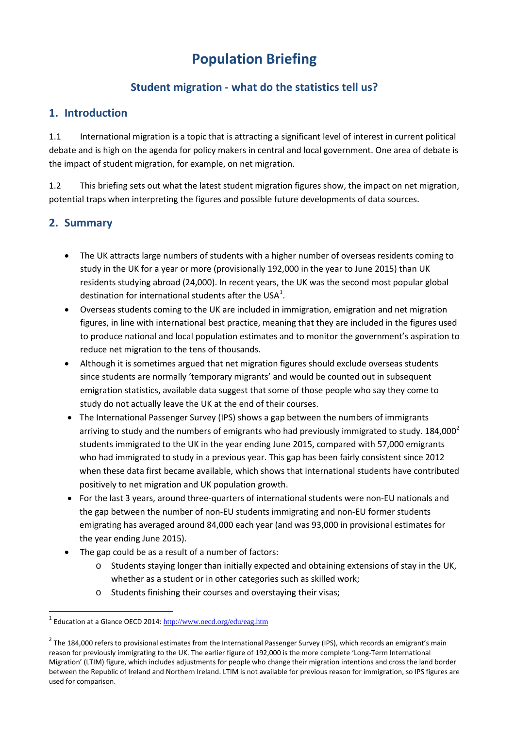# **Population Briefing**

# **Student migration - what do the statistics tell us?**

## **1. Introduction**

1.1 International migration is a topic that is attracting a significant level of interest in current political the impact of student migration, for example, on net migration. debate and is high on the agenda for policy makers in central and local government. One area of debate is

1.2 This briefing sets out what the latest student migration figures show, the impact on net migration, potential traps when interpreting the figures and possible future developments of data sources.

# **2. Summary**

**.** 

- study in the UK for a year or more (provisionally 192,000 in the year to June 2015) than UK • The UK attracts large numbers of students with a higher number of overseas residents coming to residents studying abroad (24,000). In recent years, the UK was the second most popular global destination for international students after the USA<sup>[1](#page-0-0)</sup>.
- figures, in line with international best practice, meaning that they are included in the figures used • Overseas students coming to the UK are included in immigration, emigration and net migration to produce national and local population estimates and to monitor the government's aspiration to reduce net migration to the tens of thousands.
- since students are normally 'temporary migrants' and would be counted out in subsequent emigration statistics, available data suggest that some of those people who say they come to • Although it is sometimes argued that net migration figures should exclude overseas students study do not actually leave the UK at the end of their courses.
- The International Passenger Survey (IPS) shows a gap between the numbers of immigrants arriving to study and the numbers of emigrants who had previously immigrated to study. 184,000<sup>2</sup> students immigrated to the UK in the year ending June 2015, compared with 57,000 emigrants when these data first became available, which shows that international students have contributed positively to net migration and UK population growth. who had immigrated to study in a previous year. This gap has been fairly consistent since 2012
- For the last 3 years, around three-quarters of international students were non-EU nationals and emigrating has averaged around 84,000 each year (and was 93,000 in provisional estimates for the year ending June 2015). the gap between the number of non-EU students immigrating and non-EU former students
- The gap could be as a result of a number of factors:
	- whether as a student or in other categories such as skilled work;  $\circ$  Students staying longer than initially expected and obtaining extensions of stay in the UK,
	- o Students finishing their courses and overstaying their visas;

<span id="page-0-0"></span><sup>&</sup>lt;sup>1</sup> Education at a Glance OECD 2014: http://www.oecd.org/edu/eag.htm

<span id="page-0-1"></span> $2$  The 184,000 refers to provisional estimates from the International Passenger Survey (IPS), which records an emigrant's main reason for previously immigrating to the UK. The earlier figure of 192,000 is the more complete 'Long-Term International Migration' (LTIM) figure, which includes adjustments for people who change their migration intentions and cross the land border between the Republic of Ireland and Northern Ireland. LTIM is not available for previous reason for immigration, so IPS figures are used for comparison.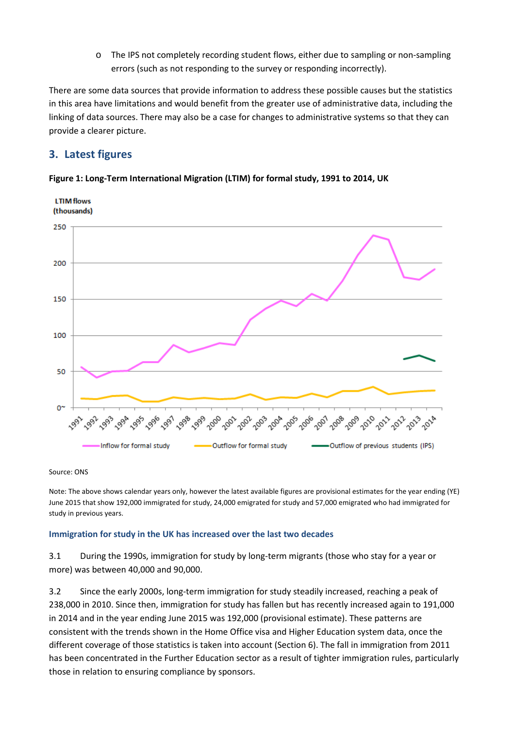o The IPS not completely recording student flows, either due to sampling or non-sampling errors (such as not responding to the survey or responding incorrectly).

 in this area have limitations and would benefit from the greater use of administrative data, including the There are some data sources that provide information to address these possible causes but the statistics linking of data sources. There may also be a case for changes to administrative systems so that they can provide a clearer picture.

### **3. Latest figures**



#### **Figure 1: Long-Term International Migration (LTIM) for formal study, 1991 to 2014, UK**

Source: ONS

 Note: The above shows calendar years only, however the latest available figures are provisional estimates for the year ending (YE) June 2015 that show 192,000 immigrated for study, 24,000 emigrated for study and 57,000 emigrated who had immigrated for study in previous years.

### **Immigration for study in the UK has increased over the last two decades**

3.1 During the 1990s, immigration for study by long-term migrants (those who stay for a year or more) was between 40,000 and 90,000.

 in 2014 and in the year ending June 2015 was 192,000 (provisional estimate). These patterns are consistent with the trends shown in the Home Office visa and Higher Education system data, once the different coverage of those statistics is taken into account (Section 6). The fall in immigration from 2011 3.2 Since the early 2000s, long-term immigration for study steadily increased, reaching a peak of 238,000 in 2010. Since then, immigration for study has fallen but has recently increased again to 191,000 has been concentrated in the Further Education sector as a result of tighter immigration rules, particularly those in relation to ensuring compliance by sponsors.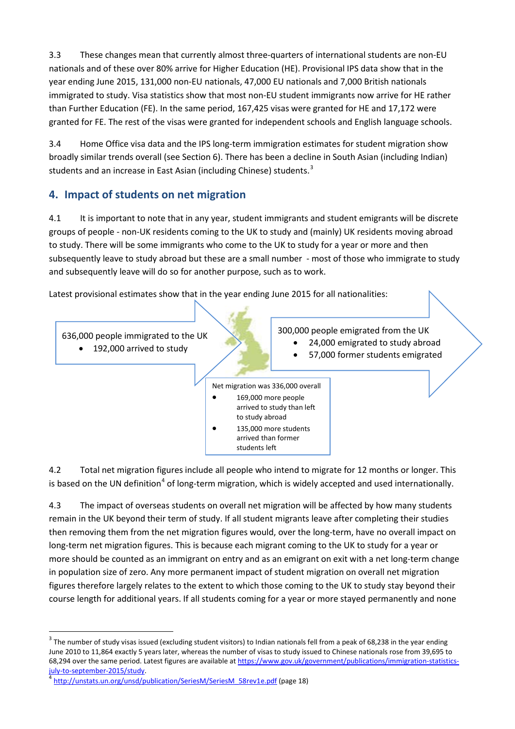3.3 These changes mean that currently almost three-quarters of international students are non-EU nationals and of these over 80% arrive for Higher Education (HE). Provisional IPS data show that in the year ending June 2015, 131,000 non-EU nationals, 47,000 EU nationals and 7,000 British nationals immigrated to study. Visa statistics show that most non-EU student immigrants now arrive for HE rather than Further Education (FE). In the same period, 167,425 visas were granted for HE and 17,172 were granted for FE. The rest of the visas were granted for independent schools and English language schools.

students and an increase in East Asian (including Chinese) students.<sup>[3](#page-2-0)</sup> 3.4 Home Office visa data and the IPS long-term immigration estimates for student migration show broadly similar trends overall (see Section 6). There has been a decline in South Asian (including Indian)

# **4. Impact of students on net migration**

 groups of people - non-UK residents coming to the UK to study and (mainly) UK residents moving abroad to study. There will be some immigrants who come to the UK to study for a year or more and then and subsequently leave will do so for another purpose, such as to work. 4.1 It is important to note that in any year, student immigrants and student emigrants will be discrete subsequently leave to study abroad but these are a small number - most of those who immigrate to study

Latest provisional estimates show that in the year ending June 2015 for all nationalities:



 4.2 Total net migration figures include all people who intend to migrate for 12 months or longer. This is based on the UN definition<sup>[4](#page-2-1)</sup> of long-term migration, which is widely accepted and used internationally.

 remain in the UK beyond their term of study. If all student migrants leave after completing their studies more should be counted as an immigrant on entry and as an emigrant on exit with a net long-term change in population size of zero. Any more permanent impact of student migration on overall net migration figures therefore largely relates to the extent to which those coming to the UK to study stay beyond their 4.3 The impact of overseas students on overall net migration will be affected by how many students then removing them from the net migration figures would, over the long-term, have no overall impact on long-term net migration figures. This is because each migrant coming to the UK to study for a year or course length for additional years. If all students coming for a year or more stayed permanently and none

 $\overline{a}$ 

<span id="page-2-0"></span> $3$  The number of study visas issued (excluding student visitors) to Indian nationals fell from a peak of 68,238 in the year ending June 2010 to 11,864 exactly 5 years later, whereas the number of visas to study issued to Chinese nationals rose from 39,695 to 68,294 over the same period. Latest figures are available at [https://www.gov.uk/government/publications/immigration-statistics](https://www.gov.uk/government/publications/immigration-statistics-july-to-september-2015/study)[july-to-september-2015/study. 4](https://www.gov.uk/government/publications/immigration-statistics-july-to-september-2015/study) [http://unstats.un.org/unsd/publication/SeriesM/SeriesM\\_58rev1e.pdf \(](http://unstats.un.org/unsd/publication/SeriesM/SeriesM_58rev1e.pdf)page 18)

<span id="page-2-1"></span>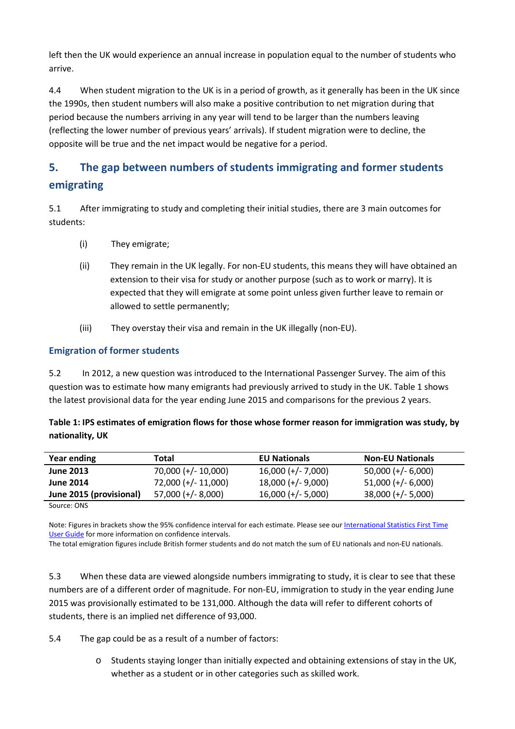left then the UK would experience an annual increase in population equal to the number of students who arrive.

 $4.4$  (reflecting the lower number of previous years' arrivals). If student migration were to decline, the opposite will be true and the net impact would be negative for a period. When student migration to the UK is in a period of growth, as it generally has been in the UK since the 1990s, then student numbers will also make a positive contribution to net migration during that period because the numbers arriving in any year will tend to be larger than the numbers leaving

# **5. The gap between numbers of students immigrating and former students emigrating**

5.1 After immigrating to study and completing their initial studies, there are 3 main outcomes for students:

- (i) They emigrate;
- (ii) They remain in the UK legally. For non-EU students, this means they will have obtained an extension to their visa for study or another purpose (such as to work or marry). It is expected that they will emigrate at some point unless given further leave to remain or allowed to settle permanently;
- (iii) They overstay their visa and remain in the UK illegally (non-EU).

### **Emigration of former students**

 $5.2$  question was to estimate how many emigrants had previously arrived to study in the UK. Table 1 shows the latest provisional data for the year ending June 2015 and comparisons for the previous 2 years. In 2012, a new question was introduced to the International Passenger Survey. The aim of this

| Table 1: IPS estimates of emigration flows for those whose former reason for immigration was study, by |
|--------------------------------------------------------------------------------------------------------|
| nationality, UK                                                                                        |

| Year ending             | Total                 | <b>EU Nationals</b>  | <b>Non-EU Nationals</b> |
|-------------------------|-----------------------|----------------------|-------------------------|
| <b>June 2013</b>        | $70,000 (+/- 10,000)$ | $16,000 (+/- 7,000)$ | $50,000 (+/- 6,000)$    |
| <b>June 2014</b>        | 72,000 (+/- 11,000)   | $18,000 (+/- 9,000)$ | $51,000 (+/- 6,000)$    |
| June 2015 (provisional) | $57,000 (+/- 8,000)$  | $16,000 (+/- 5,000)$ | $38,000 (+/- 5,000)$    |

Source: ONS

Note: Figures in brackets show the 95% confidence interval for each estimate. Please see our [International Statistics First Time](http://www.ons.gov.uk/ons/guide-method/method-quality/specific/population-and-migration/international-migration-methodology/international-migration-statistics-first-time-user-guide--pdf-.pdf) [User Guide f](http://www.ons.gov.uk/ons/guide-method/method-quality/specific/population-and-migration/international-migration-methodology/international-migration-statistics-first-time-user-guide--pdf-.pdf)or more information on confidence intervals.

The total emigration figures include British former students and do not match the sum of EU nationals and non-EU nationals.

 5.3 When these data are viewed alongside numbers immigrating to study, it is clear to see that these numbers are of a different order of magnitude. For non-EU, immigration to study in the year ending June 2015 was provisionally estimated to be 131,000. Although the data will refer to different cohorts of students, there is an implied net difference of 93,000.

5.4 The gap could be as a result of a number of factors:

 whether as a student or in other categories such as skilled work.  $\circ$  Students staying longer than initially expected and obtaining extensions of stay in the UK,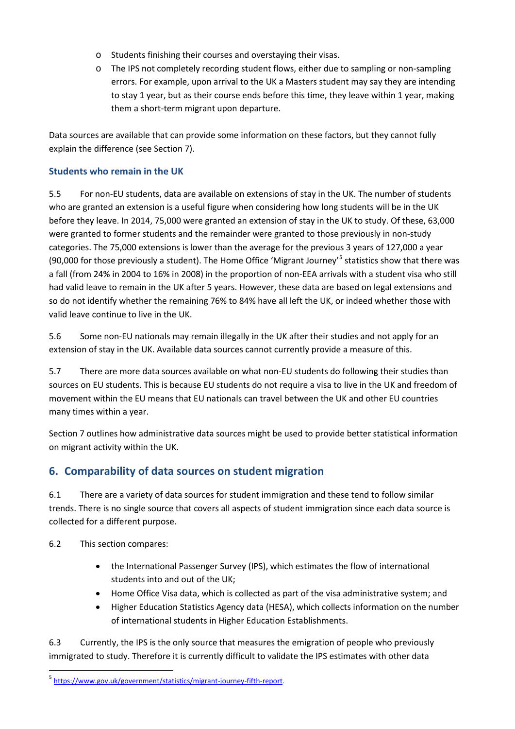- o Students finishing their courses and overstaying their visas.
- errors. For example, upon arrival to the UK a Masters student may say they are intending them a short-term migrant upon departure. o The IPS not completely recording student flows, either due to sampling or non-sampling to stay 1 year, but as their course ends before this time, they leave within 1 year, making

Data sources are available that can provide some information on these factors, but they cannot fully explain the difference (see Section 7).

#### **Students who remain in the UK**

 5.5 For non-EU students, data are available on extensions of stay in the UK. The number of students before they leave. In 2014, 75,000 were granted an extension of stay in the UK to study. Of these, 63,000 categories. The 75,000 extensions is lower than the average for the previous 3 years of 127,000 a year had valid leave to remain in the UK after 5 years. However, these data are based on legal extensions and so do not identify whether the remaining 76% to 84% have all left the UK, or indeed whether those with who are granted an extension is a useful figure when considering how long students will be in the UK were granted to former students and the remainder were granted to those previously in non-study (90,000 for those previously a student). The Home Office 'Migrant Journey'<sup>5</sup> statistics show that there was a fall (from 24% in 2004 to 16% in 2008) in the proportion of non-EEA arrivals with a student visa who still valid leave continue to live in the UK.

 5.6 Some non-EU nationals may remain illegally in the UK after their studies and not apply for an extension of stay in the UK. Available data sources cannot currently provide a measure of this.

 sources on EU students. This is because EU students do not require a visa to live in the UK and freedom of movement within the EU means that EU nationals can travel between the UK and other EU countries many times within a year. 5.7 There are more data sources available on what non-EU students do following their studies than

Section 7 outlines how administrative data sources might be used to provide better statistical information on migrant activity within the UK.

# **6. Comparability of data sources on student migration**

 6.1 There are a variety of data sources for student immigration and these tend to follow similar trends. There is no single source that covers all aspects of student immigration since each data source is collected for a different purpose.

6.2 This section compares:

**.** 

- the International Passenger Survey (IPS), which estimates the flow of international students into and out of the UK;
- Home Office Visa data, which is collected as part of the visa administrative system; and
- • Higher Education Statistics Agency data (HESA), which collects information on the number of international students in Higher Education Establishments.

 6.3 Currently, the IPS is the only source that measures the emigration of people who previously immigrated to study. Therefore it is currently difficult to validate the IPS estimates with other data

<span id="page-4-0"></span><sup>5</sup> [https://www.gov.uk/government/statistics/migrant-journey-fifth-report.](https://www.gov.uk/government/statistics/migrant-journey-fifth-report)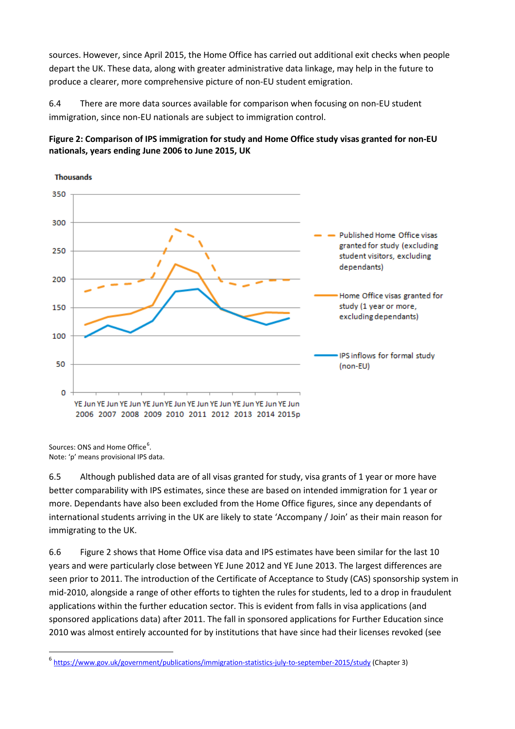sources. However, since April 2015, the Home Office has carried out additional exit checks when people depart the UK. These data, along with greater administrative data linkage, may help in the future to produce a clearer, more comprehensive picture of non-EU student emigration.

6.4 There are more data sources available for comparison when focusing on non-EU student immigration, since non-EU nationals are subject to immigration control.





Sources: ONS and Home Office<sup>[6](#page-5-0)</sup>. Note: 'p' means provisional IPS data.

**.** 

6.5 Although published data are of all visas granted for study, visa grants of 1 year or more have better comparability with IPS estimates, since these are based on intended immigration for 1 year or more. Dependants have also been excluded from the Home Office figures, since any dependants of international students arriving in the UK are likely to state 'Accompany / Join' as their main reason for immigrating to the UK.

6.6 Figure 2 shows that Home Office visa data and IPS estimates have been similar for the last 10 years and were particularly close between YE June 2012 and YE June 2013. The largest differences are seen prior to 2011. The introduction of the Certificate of Acceptance to Study (CAS) sponsorship system in mid-2010, alongside a range of other efforts to tighten the rules for students, led to a drop in fraudulent applications within the further education sector. This is evident from falls in visa applications (and sponsored applications data) after 2011. The fall in sponsored applications for Further Education since 2010 was almost entirely accounted for by institutions that have since had their licenses revoked (see

<span id="page-5-0"></span><sup>6</sup> <https://www.gov.uk/government/publications/immigration-statistics-july-to-september-2015/study> (Chapter 3)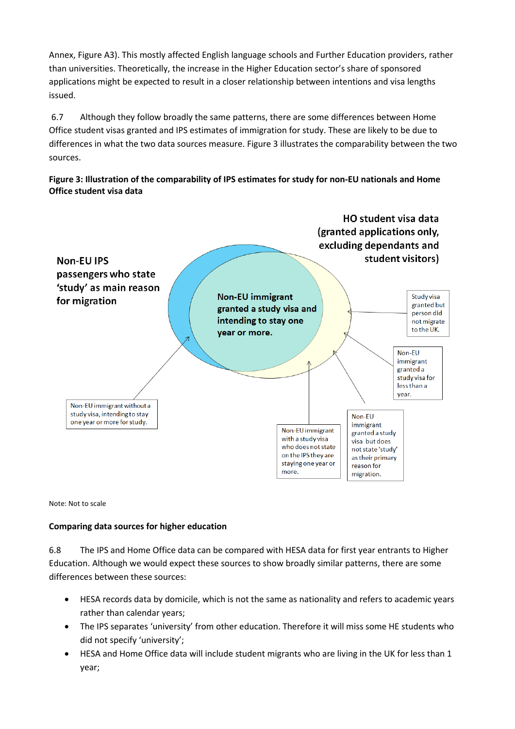Annex, Figure A3). This mostly affected English language schools and Further Education providers, rather than universities. Theoretically, the increase in the Higher Education sector's share of sponsored applications might be expected to result in a closer relationship between intentions and visa lengths issued.

6.7 Although they follow broadly the same patterns, there are some differences between Home Office student visas granted and IPS estimates of immigration for study. These are likely to be due to differences in what the two data sources measure. Figure 3 illustrates the comparability between the two sources.

**Figure 3: Illustration of the comparability of IPS estimates for study for non-EU nationals and Home Office student visa data** 



Note: Not to scale

#### **Comparing data sources for higher education**

 Education. Although we would expect these sources to show broadly similar patterns, there are some 6.8 The IPS and Home Office data can be compared with HESA data for first year entrants to Higher differences between these sources:

- HESA records data by domicile, which is not the same as nationality and refers to academic years rather than calendar years;
- The IPS separates 'university' from other education. Therefore it will miss some HE students who did not specify 'university';
- HESA and Home Office data will include student migrants who are living in the UK for less than 1 year;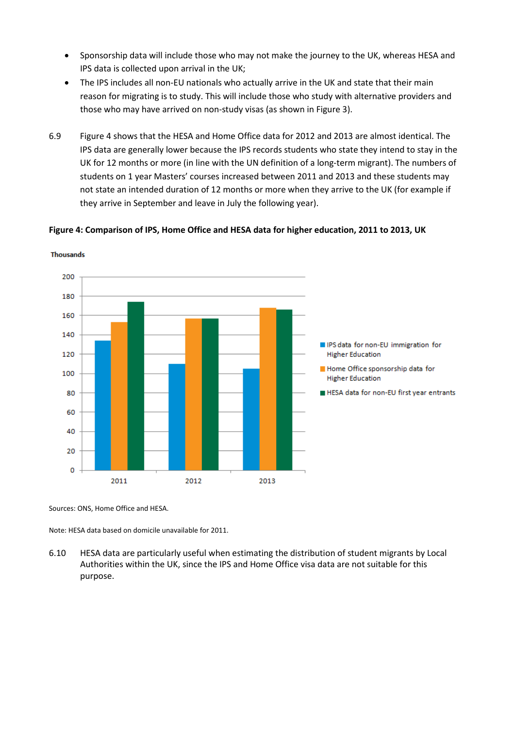- Sponsorship data will include those who may not make the journey to the UK, whereas HESA and IPS data is collected upon arrival in the UK;
- The IPS includes all non-EU nationals who actually arrive in the UK and state that their main reason for migrating is to study. This will include those who study with alternative providers and those who may have arrived on non-study visas (as shown in Figure 3).
- 6.9 Figure 4 shows that the HESA and Home Office data for 2012 and 2013 are almost identical. The IPS data are generally lower because the IPS records students who state they intend to stay in the UK for 12 months or more (in line with the UN definition of a long-term migrant). The numbers of students on 1 year Masters' courses increased between 2011 and 2013 and these students may not state an intended duration of 12 months or more when they arrive to the UK (for example if they arrive in September and leave in July the following year).

#### **Figure 4: Comparison of IPS, Home Office and HESA data for higher education, 2011 to 2013, UK**



Thousands

Sources: ONS, Home Office and HESA.

Note: HESA data based on domicile unavailable for 2011.

6.10 HESA data are particularly useful when estimating the distribution of student migrants by Local Authorities within the UK, since the IPS and Home Office visa data are not suitable for this purpose.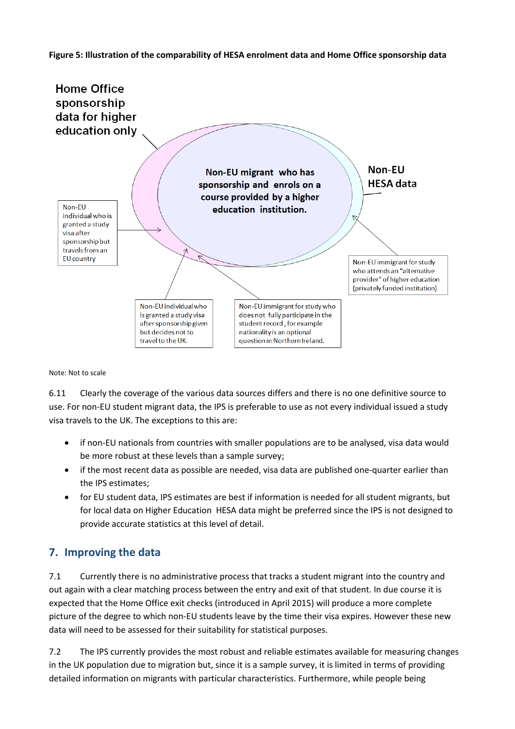#### **Figure 5: Illustration of the comparability of HESA enrolment data and Home Office sponsorship data**



Note: Not to scale

6.11 Clearly the coverage of the various data sources differs and there is no one definitive source to use. For non-EU student migrant data, the IPS is preferable to use as not every individual issued a study visa travels to the UK. The exceptions to this are:

- if non-EU nationals from countries with smaller populations are to be analysed, visa data would be more robust at these levels than a sample survey;
- if the most recent data as possible are needed, visa data are published one-quarter earlier than the IPS estimates;
- for local data on Higher Education HESA data might be preferred since the IPS is not designed to for EU student data, IPS estimates are best if information is needed for all student migrants, but provide accurate statistics at this level of detail.

### **7. Improving the data**

 out again with a clear matching process between the entry and exit of that student. In due course it is data will need to be assessed for their suitability for statistical purposes. 7.1 Currently there is no administrative process that tracks a student migrant into the country and expected that the Home Office exit checks (introduced in April 2015) will produce a more complete picture of the degree to which non-EU students leave by the time their visa expires. However these new

7.2 The IPS currently provides the most robust and reliable estimates available for measuring changes in the UK population due to migration but, since it is a sample survey, it is limited in terms of providing detailed information on migrants with particular characteristics. Furthermore, while people being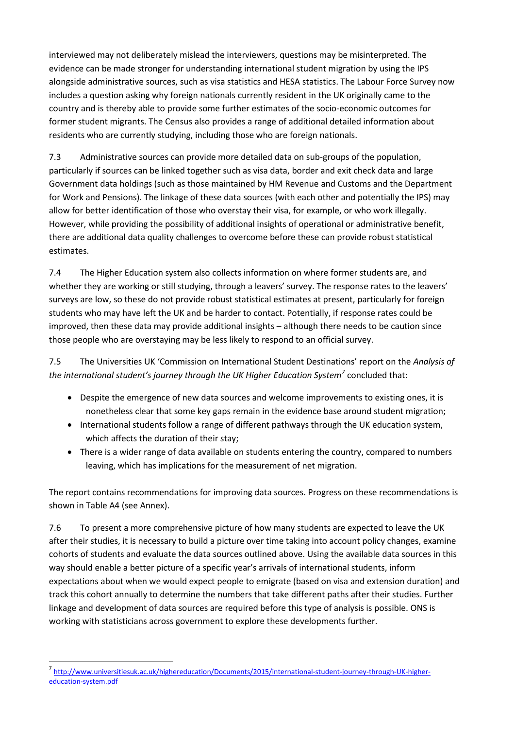interviewed may not deliberately mislead the interviewers, questions may be misinterpreted. The evidence can be made stronger for understanding international student migration by using the IPS alongside administrative sources, such as visa statistics and HESA statistics. The Labour Force Survey now includes a question asking why foreign nationals currently resident in the UK originally came to the former student migrants. The Census also provides a range of additional detailed information about residents who are currently studying, including those who are foreign nationals. country and is thereby able to provide some further estimates of the socio-economic outcomes for

 7.3 Administrative sources can provide more detailed data on sub-groups of the population, particularly if sources can be linked together such as visa data, border and exit check data and large Government data holdings (such as those maintained by HM Revenue and Customs and the Department for Work and Pensions). The linkage of these data sources (with each other and potentially the IPS) may allow for better identification of those who overstay their visa, for example, or who work illegally. estimates. However, while providing the possibility of additional insights of operational or administrative benefit, there are additional data quality challenges to overcome before these can provide robust statistical

 $7.4$  students who may have left the UK and be harder to contact. Potentially, if response rates could be improved, then these data may provide additional insights – although there needs to be caution since The Higher Education system also collects information on where former students are, and whether they are working or still studying, through a leavers' survey. The response rates to the leavers' surveys are low, so these do not provide robust statistical estimates at present, particularly for foreign those people who are overstaying may be less likely to respond to an official survey.

7.5 The Universities UK 'Commission on International Student Destinations' report on the *Analysis of the international student's journey through the UK Higher Education System[7](#page-9-0)* concluded that:

- Despite the emergence of new data sources and welcome improvements to existing ones, it is nonetheless clear that some key gaps remain in the evidence base around student migration;
- International students follow a range of different pathways through the UK education system, which affects the duration of their stay;
- leaving, which has implications for the measurement of net migration. • There is a wider range of data available on students entering the country, compared to numbers

 The report contains recommendations for improving data sources. Progress on these recommendations is shown in Table A4 (see Annex).

 after their studies, it is necessary to build a picture over time taking into account policy changes, examine expectations about when we would expect people to emigrate (based on visa and extension duration) and linkage and development of data sources are required before this type of analysis is possible. ONS is 7.6 To present a more comprehensive picture of how many students are expected to leave the UK cohorts of students and evaluate the data sources outlined above. Using the available data sources in this way should enable a better picture of a specific year's arrivals of international students, inform track this cohort annually to determine the numbers that take different paths after their studies. Further working with statisticians across government to explore these developments further.

**.** 

<span id="page-9-0"></span><sup>7</sup> [http://www.universitiesuk.ac.uk/highereducation/Documents/2015/international-student-journey-through-UK-higher](http://www.universitiesuk.ac.uk/highereducation/Documents/2015/international-student-journey-through-UK-higher-education-system.pdf)[education-system.pdf](http://www.universitiesuk.ac.uk/highereducation/Documents/2015/international-student-journey-through-UK-higher-education-system.pdf)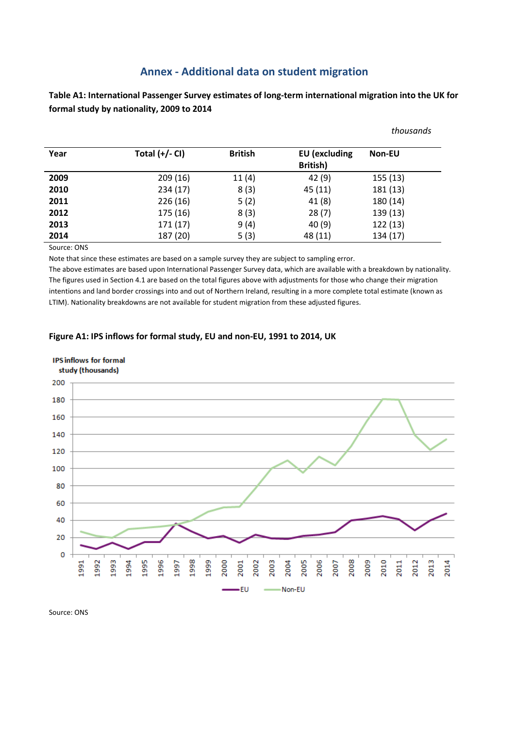### **Annex - Additional data on student migration**

**Table A1: International Passenger Survey estimates of long-term international migration into the UK for formal study by nationality, 2009 to 2014** 

|         |                  |                |                                  | thousands     |
|---------|------------------|----------------|----------------------------------|---------------|
| Year    | Total $(+/-$ CI) | <b>British</b> | <b>EU</b> (excluding<br>British) | <b>Non-EU</b> |
| 2009    | 209(16)          | 11(4)          | 42(9)                            | 155(13)       |
| 2010    | 234(17)          | 8(3)           | 45 (11)                          | 181 (13)      |
| 2011    | 226(16)          | 5(2)           | 41(8)                            | 180 (14)      |
| 2012    | 175 (16)         | 8(3)           | 28(7)                            | 139 (13)      |
| 2013    | 171(17)          | 9(4)           | 40(9)                            | 122(13)       |
| 2014    | 187 (20)         | 5(3)           | 48 (11)                          | 134 (17)      |
| $C = 1$ |                  |                |                                  |               |

Source: ONS

Note that since these estimates are based on a sample survey they are subject to sampling error.

The above estimates are based upon International Passenger Survey data, which are available with a breakdown by nationality. The figures used in Section 4.1 are based on the total figures above with adjustments for those who change their migration intentions and land border crossings into and out of Northern Ireland, resulting in a more complete total estimate (known as LTIM). Nationality breakdowns are not available for student migration from these adjusted figures.

#### **Figure A1: IPS inflows for formal study, EU and non-EU, 1991 to 2014, UK**



Source: ONS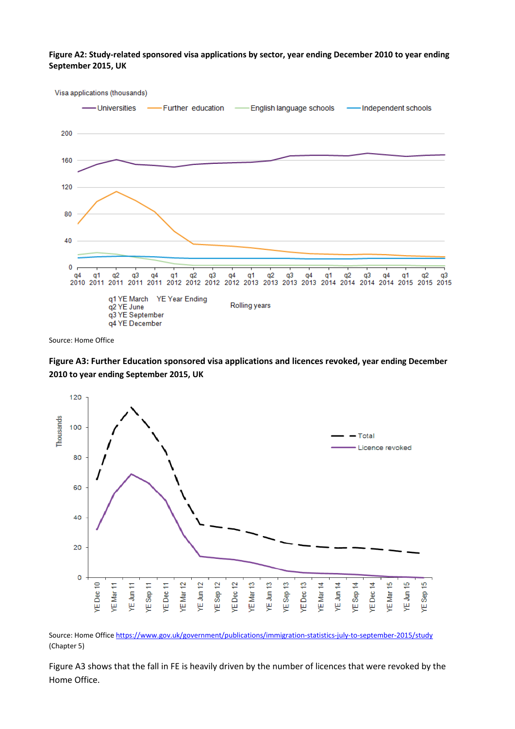**Figure A2: Study-related sponsored visa applications by sector, year ending December 2010 to year ending September 2015, UK**



Source: Home Office

**Figure A3: Further Education sponsored visa applications and licences revoked, year ending December 2010 to year ending September 2015, UK**



Source: Home Office <https://www.gov.uk/government/publications/immigration-statistics-july-to-september-2015/study> (Chapter 5)

Figure A3 shows that the fall in FE is heavily driven by the number of licences that were revoked by the Home Office.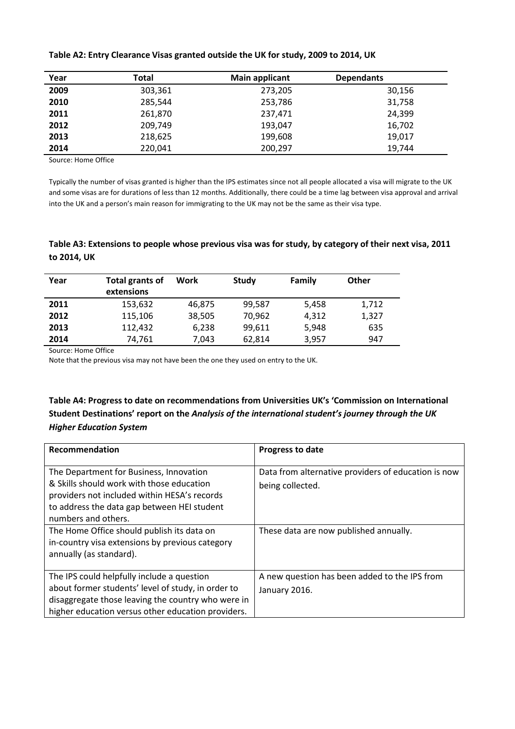| Year | Total   | <b>Main applicant</b> | <b>Dependants</b> |
|------|---------|-----------------------|-------------------|
| 2009 | 303,361 | 273,205               | 30,156            |
| 2010 | 285,544 | 253,786               | 31,758            |
| 2011 | 261,870 | 237,471               | 24,399            |
| 2012 | 209,749 | 193,047               | 16,702            |
| 2013 | 218,625 | 199,608               | 19,017            |
| 2014 | 220,041 | 200,297               | 19,744            |

#### **Table A2: Entry Clearance Visas granted outside the UK for study, 2009 to 2014, UK**

Source: Home Office

Typically the number of visas granted is higher than the IPS estimates since not all people allocated a visa will migrate to the UK and some visas are for durations of less than 12 months. Additionally, there could be a time lag between visa approval and arrival into the UK and a person's main reason for immigrating to the UK may not be the same as their visa type.

#### **Table A3: Extensions to people whose previous visa was for study, by category of their next visa, 2011 to 2014, UK**

| Year | Total grants of<br>extensions | Work   | Study  | <b>Family</b> | Other |
|------|-------------------------------|--------|--------|---------------|-------|
| 2011 | 153,632                       | 46,875 | 99,587 | 5,458         | 1,712 |
| 2012 | 115,106                       | 38,505 | 70,962 | 4,312         | 1,327 |
| 2013 | 112,432                       | 6,238  | 99,611 | 5,948         | 635   |
| 2014 | 74,761                        | 7,043  | 62,814 | 3,957         | 947   |

Source: Home Office

Note that the previous visa may not have been the one they used on entry to the UK.

### **Table A4: Progress to date on recommendations from Universities UK's 'Commission on International Student Destinations' report on the** *Analysis of the international student's journey through the UK Higher Education System*

| Recommendation                                                                                                                                                                                               | Progress to date                                                        |
|--------------------------------------------------------------------------------------------------------------------------------------------------------------------------------------------------------------|-------------------------------------------------------------------------|
| The Department for Business, Innovation<br>& Skills should work with those education<br>providers not included within HESA's records<br>to address the data gap between HEI student<br>numbers and others.   | Data from alternative providers of education is now<br>being collected. |
| The Home Office should publish its data on<br>in-country visa extensions by previous category<br>annually (as standard).                                                                                     | These data are now published annually.                                  |
| The IPS could helpfully include a question<br>about former students' level of study, in order to<br>disaggregate those leaving the country who were in<br>higher education versus other education providers. | A new question has been added to the IPS from<br>January 2016.          |